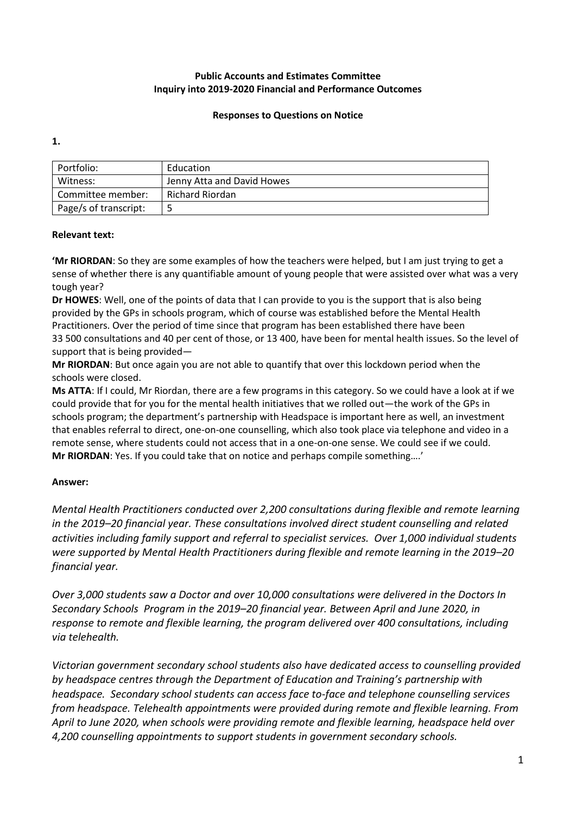## **Responses to Questions on Notice**

**1.** 

| Portfolio:            | Education                  |
|-----------------------|----------------------------|
| Witness:              | Jenny Atta and David Howes |
| Committee member:     | Richard Riordan            |
| Page/s of transcript: |                            |
|                       |                            |

## **Relevant text:**

**'Mr RIORDAN**: So they are some examples of how the teachers were helped, but I am just trying to get a sense of whether there is any quantifiable amount of young people that were assisted over what was a very tough year?

**Dr HOWES**: Well, one of the points of data that I can provide to you is the support that is also being provided by the GPs in schools program, which of course was established before the Mental Health Practitioners. Over the period of time since that program has been established there have been 33 500 consultations and 40 per cent of those, or 13 400, have been for mental health issues. So the level of support that is being provided—

**Mr RIORDAN**: But once again you are not able to quantify that over this lockdown period when the schools were closed.

**Ms ATTA**: If I could, Mr Riordan, there are a few programs in this category. So we could have a look at if we could provide that for you for the mental health initiatives that we rolled out—the work of the GPs in schools program; the department's partnership with Headspace is important here as well, an investment that enables referral to direct, one-on-one counselling, which also took place via telephone and video in a remote sense, where students could not access that in a one-on-one sense. We could see if we could. **Mr RIORDAN**: Yes. If you could take that on notice and perhaps compile something….'

## **Answer:**

*Mental Health Practitioners conducted over 2,200 consultations during flexible and remote learning in the 2019–20 financial year. These consultations involved direct student counselling and related activities including family support and referral to specialist services. Over 1,000 individual students were supported by Mental Health Practitioners during flexible and remote learning in the 2019–20 financial year.*

*Over 3,000 students saw a Doctor and over 10,000 consultations were delivered in the Doctors In Secondary Schools Program in the 2019–20 financial year. Between April and June 2020, in response to remote and flexible learning, the program delivered over 400 consultations, including via telehealth.* 

*Victorian government secondary school students also have dedicated access to counselling provided by headspace centres through the Department of Education and Training's partnership with headspace. Secondary school students can access face to-face and telephone counselling services from headspace. Telehealth appointments were provided during remote and flexible learning. From April to June 2020, when schools were providing remote and flexible learning, headspace held over 4,200 counselling appointments to support students in government secondary schools.*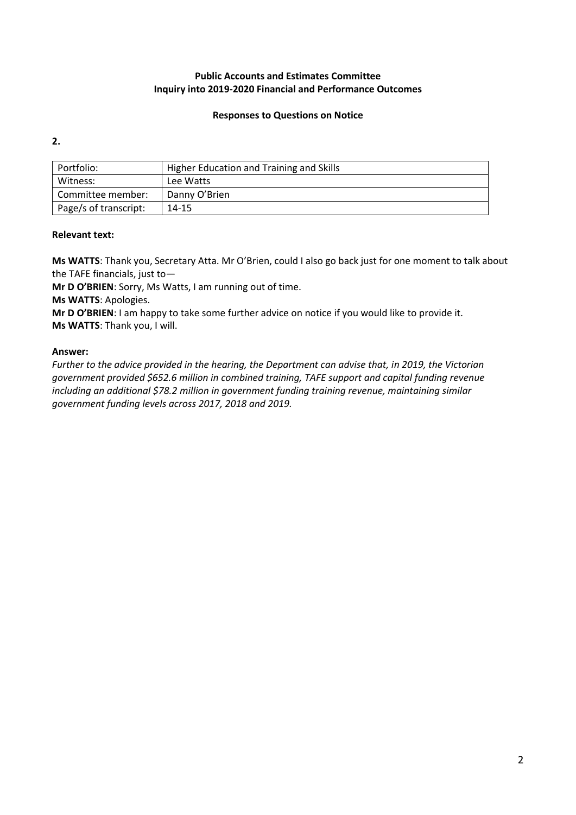## **Responses to Questions on Notice**

**2.**

| Portfolio:            | Higher Education and Training and Skills |
|-----------------------|------------------------------------------|
| Witness:              | Lee Watts                                |
| Committee member:     | Danny O'Brien                            |
| Page/s of transcript: | 14-15                                    |

## **Relevant text:**

**Ms WATTS**: Thank you, Secretary Atta. Mr O'Brien, could I also go back just for one moment to talk about the TAFE financials, just to—

**Mr D O'BRIEN**: Sorry, Ms Watts, I am running out of time.

**Ms WATTS**: Apologies.

**Mr D O'BRIEN**: I am happy to take some further advice on notice if you would like to provide it. **Ms WATTS**: Thank you, I will.

## **Answer:**

*Further to the advice provided in the hearing, the Department can advise that, in 2019, the Victorian government provided \$652.6 million in combined training, TAFE support and capital funding revenue including an additional \$78.2 million in government funding training revenue, maintaining similar government funding levels across 2017, 2018 and 2019.*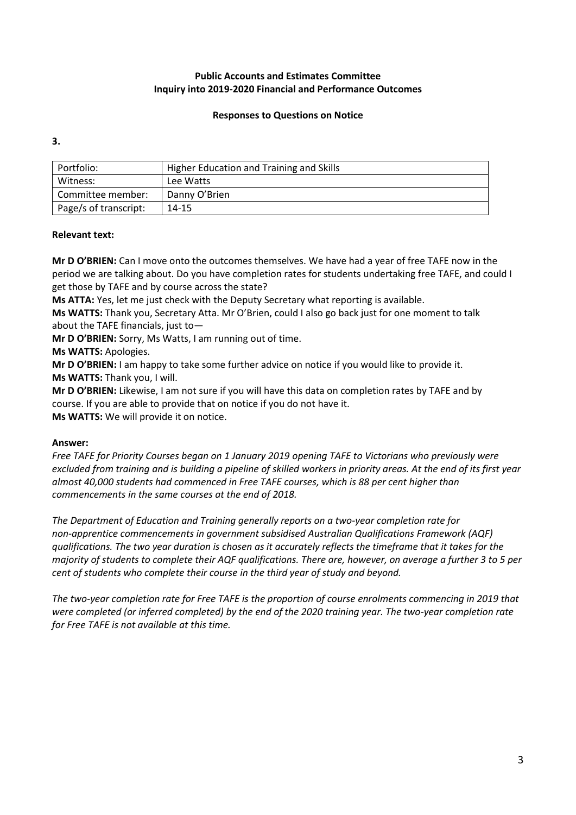## **Responses to Questions on Notice**

**3.**

| Portfolio:            | Higher Education and Training and Skills |
|-----------------------|------------------------------------------|
| Witness:              | Lee Watts                                |
| Committee member:     | Danny O'Brien                            |
| Page/s of transcript: | 14-15                                    |

## **Relevant text:**

**Mr D O'BRIEN:** Can I move onto the outcomes themselves. We have had a year of free TAFE now in the period we are talking about. Do you have completion rates for students undertaking free TAFE, and could I get those by TAFE and by course across the state?

**Ms ATTA:** Yes, let me just check with the Deputy Secretary what reporting is available.

**Ms WATTS:** Thank you, Secretary Atta. Mr O'Brien, could I also go back just for one moment to talk about the TAFE financials, just to—

**Mr D O'BRIEN:** Sorry, Ms Watts, I am running out of time.

**Ms WATTS:** Apologies.

**Mr D O'BRIEN:** I am happy to take some further advice on notice if you would like to provide it. **Ms WATTS:** Thank you, I will.

**Mr D O'BRIEN:** Likewise, I am not sure if you will have this data on completion rates by TAFE and by course. If you are able to provide that on notice if you do not have it. **Ms WATTS:** We will provide it on notice.

#### **Answer:**

*Free TAFE for Priority Courses began on 1 January 2019 opening TAFE to Victorians who previously were excluded from training and is building a pipeline of skilled workers in priority areas. At the end of its first year almost 40,000 students had commenced in Free TAFE courses, which is 88 per cent higher than commencements in the same courses at the end of 2018.*

*The Department of Education and Training generally reports on a two-year completion rate for non-apprentice commencements in government subsidised Australian Qualifications Framework (AQF) qualifications. The two year duration is chosen as it accurately reflects the timeframe that it takes for the majority of students to complete their AQF qualifications. There are, however, on average a further 3 to 5 per cent of students who complete their course in the third year of study and beyond.* 

*The two-year completion rate for Free TAFE is the proportion of course enrolments commencing in 2019 that were completed (or inferred completed) by the end of the 2020 training year. The two-year completion rate for Free TAFE is not available at this time.*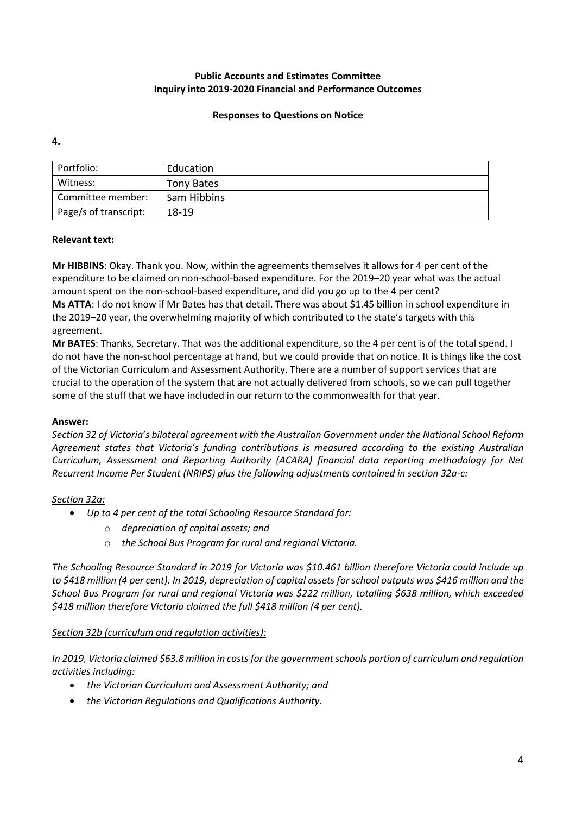## **Responses to Questions on Notice**

**4.**

| Portfolio:            | Education   |
|-----------------------|-------------|
| Witness:              | Tony Bates  |
| Committee member:     | Sam Hibbins |
| Page/s of transcript: | 18-19       |

## **Relevant text:**

**Mr HIBBINS**: Okay. Thank you. Now, within the agreements themselves it allows for 4 per cent of the expenditure to be claimed on non-school-based expenditure. For the 2019–20 year what was the actual amount spent on the non-school-based expenditure, and did you go up to the 4 per cent? **Ms ATTA**: I do not know if Mr Bates has that detail. There was about \$1.45 billion in school expenditure in the 2019–20 year, the overwhelming majority of which contributed to the state's targets with this agreement.

**Mr BATES**: Thanks, Secretary. That was the additional expenditure, so the 4 per cent is of the total spend. I do not have the non-school percentage at hand, but we could provide that on notice. It is things like the cost of the Victorian Curriculum and Assessment Authority. There are a number of support services that are crucial to the operation of the system that are not actually delivered from schools, so we can pull together some of the stuff that we have included in our return to the commonwealth for that year.

#### **Answer:**

*Section 32 of Victoria's bilateral agreement with the Australian Government under the National School Reform Agreement states that Victoria's funding contributions is measured according to the existing Australian Curriculum, Assessment and Reporting Authority (ACARA) financial data reporting methodology for Net Recurrent Income Per Student (NRIPS) plus the following adjustments contained in section 32a-c:* 

## *Section 32a:*

- *Up to 4 per cent of the total Schooling Resource Standard for:*
	- o *depreciation of capital assets; and*
	- o *the School Bus Program for rural and regional Victoria.*

*The Schooling Resource Standard in 2019 for Victoria was \$10.461 billion therefore Victoria could include up to \$418 million (4 per cent). In 2019, depreciation of capital assets for school outputs was \$416 million and the School Bus Program for rural and regional Victoria was \$222 million, totalling \$638 million, which exceeded \$418 million therefore Victoria claimed the full \$418 million (4 per cent).*

## *Section 32b (curriculum and regulation activities):*

*In 2019, Victoria claimed \$63.8 million in costs for the government schools portion of curriculum and regulation activities including:*

- *the Victorian Curriculum and Assessment Authority; and*
- *the Victorian Regulations and Qualifications Authority.*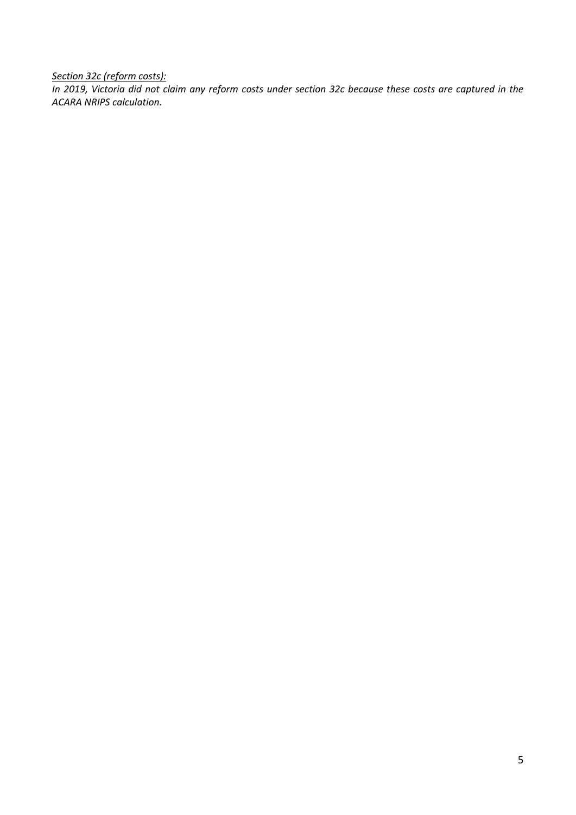*Section 32c (reform costs):*

*In 2019, Victoria did not claim any reform costs under section 32c because these costs are captured in the ACARA NRIPS calculation.*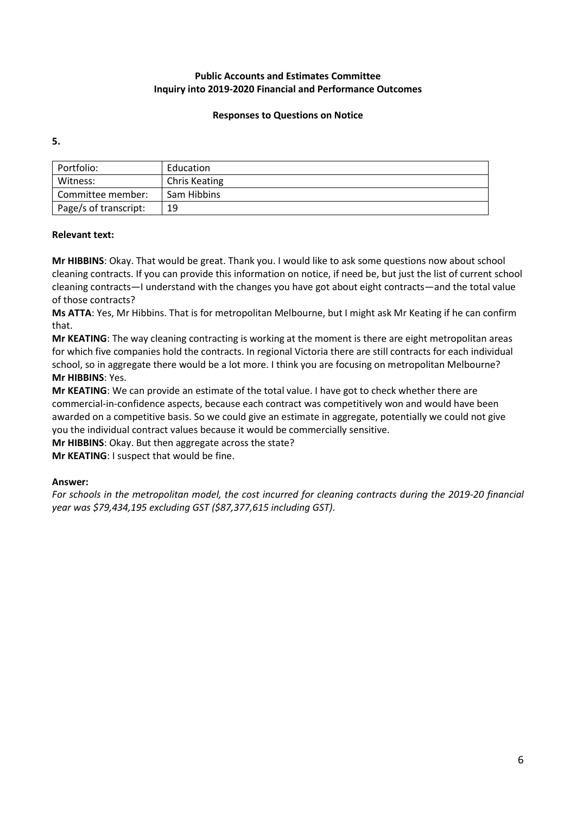## **Responses to Questions on Notice**

**5.**

| Portfolio:            | Education            |
|-----------------------|----------------------|
| Witness:              | <b>Chris Keating</b> |
| Committee member:     | Sam Hibbins          |
| Page/s of transcript: | 19                   |
|                       |                      |

## **Relevant text:**

**Mr HIBBINS**: Okay. That would be great. Thank you. I would like to ask some questions now about school cleaning contracts. If you can provide this information on notice, if need be, but just the list of current school cleaning contracts—I understand with the changes you have got about eight contracts—and the total value of those contracts?

**Ms ATTA**: Yes, Mr Hibbins. That is for metropolitan Melbourne, but I might ask Mr Keating if he can confirm that.

**Mr KEATING**: The way cleaning contracting is working at the moment is there are eight metropolitan areas for which five companies hold the contracts. In regional Victoria there are still contracts for each individual school, so in aggregate there would be a lot more. I think you are focusing on metropolitan Melbourne? **Mr HIBBINS**: Yes.

**Mr KEATING**: We can provide an estimate of the total value. I have got to check whether there are commercial-in-confidence aspects, because each contract was competitively won and would have been awarded on a competitive basis. So we could give an estimate in aggregate, potentially we could not give you the individual contract values because it would be commercially sensitive.

**Mr HIBBINS**: Okay. But then aggregate across the state?

**Mr KEATING**: I suspect that would be fine.

#### **Answer:**

*For schools in the metropolitan model, the cost incurred for cleaning contracts during the 2019-20 financial year was \$79,434,195 excluding GST (\$87,377,615 including GST).*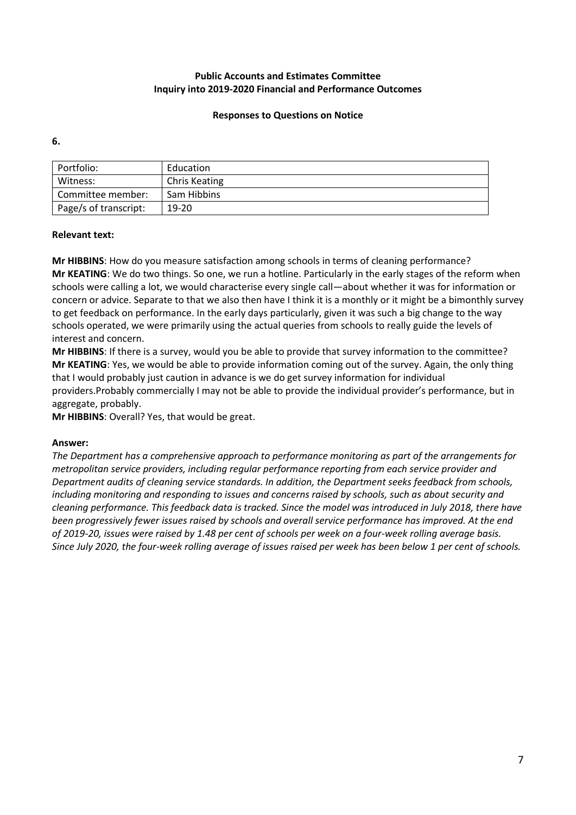### **Responses to Questions on Notice**

**6.**

| Portfolio:            | Education            |
|-----------------------|----------------------|
| Witness:              | <b>Chris Keating</b> |
| Committee member:     | Sam Hibbins          |
| Page/s of transcript: | 19-20                |
|                       |                      |

## **Relevant text:**

**Mr HIBBINS**: How do you measure satisfaction among schools in terms of cleaning performance? **Mr KEATING**: We do two things. So one, we run a hotline. Particularly in the early stages of the reform when schools were calling a lot, we would characterise every single call—about whether it was for information or concern or advice. Separate to that we also then have I think it is a monthly or it might be a bimonthly survey to get feedback on performance. In the early days particularly, given it was such a big change to the way schools operated, we were primarily using the actual queries from schools to really guide the levels of interest and concern.

**Mr HIBBINS**: If there is a survey, would you be able to provide that survey information to the committee? **Mr KEATING**: Yes, we would be able to provide information coming out of the survey. Again, the only thing that I would probably just caution in advance is we do get survey information for individual providers.Probably commercially I may not be able to provide the individual provider's performance, but in aggregate, probably.

**Mr HIBBINS**: Overall? Yes, that would be great.

#### **Answer:**

*The Department has a comprehensive approach to performance monitoring as part of the arrangements for metropolitan service providers, including regular performance reporting from each service provider and Department audits of cleaning service standards. In addition, the Department seeks feedback from schools, including monitoring and responding to issues and concerns raised by schools, such as about security and cleaning performance. This feedback data is tracked. Since the model was introduced in July 2018, there have been progressively fewer issues raised by schools and overall service performance has improved. At the end of 2019-20, issues were raised by 1.48 per cent of schools per week on a four-week rolling average basis. Since July 2020, the four-week rolling average of issues raised per week has been below 1 per cent of schools.*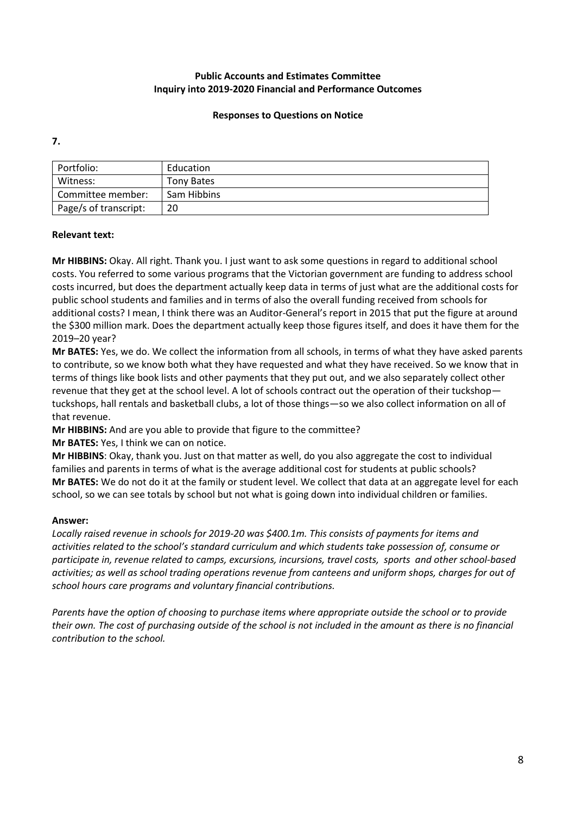### **Responses to Questions on Notice**

**7.**

| Portfolio:            | Education   |
|-----------------------|-------------|
| Witness:              | Tony Bates  |
| Committee member:     | Sam Hibbins |
| Page/s of transcript: | 20          |
|                       |             |

## **Relevant text:**

**Mr HIBBINS:** Okay. All right. Thank you. I just want to ask some questions in regard to additional school costs. You referred to some various programs that the Victorian government are funding to address school costs incurred, but does the department actually keep data in terms of just what are the additional costs for public school students and families and in terms of also the overall funding received from schools for additional costs? I mean, I think there was an Auditor-General's report in 2015 that put the figure at around the \$300 million mark. Does the department actually keep those figures itself, and does it have them for the 2019–20 year?

**Mr BATES:** Yes, we do. We collect the information from all schools, in terms of what they have asked parents to contribute, so we know both what they have requested and what they have received. So we know that in terms of things like book lists and other payments that they put out, and we also separately collect other revenue that they get at the school level. A lot of schools contract out the operation of their tuckshop tuckshops, hall rentals and basketball clubs, a lot of those things—so we also collect information on all of that revenue.

**Mr HIBBINS:** And are you able to provide that figure to the committee?

**Mr BATES:** Yes, I think we can on notice.

**Mr HIBBINS**: Okay, thank you. Just on that matter as well, do you also aggregate the cost to individual families and parents in terms of what is the average additional cost for students at public schools? **Mr BATES:** We do not do it at the family or student level. We collect that data at an aggregate level for each school, so we can see totals by school but not what is going down into individual children or families.

## **Answer:**

*Locally raised revenue in schools for 2019-20 was \$400.1m. This consists of payments for items and activities related to the school's standard curriculum and which students take possession of, consume or participate in, revenue related to camps, excursions, incursions, travel costs, sports and other school-based activities; as well as school trading operations revenue from canteens and uniform shops, charges for out of school hours care programs and voluntary financial contributions.*

*Parents have the option of choosing to purchase items where appropriate outside the school or to provide their own. The cost of purchasing outside of the school is not included in the amount as there is no financial contribution to the school.*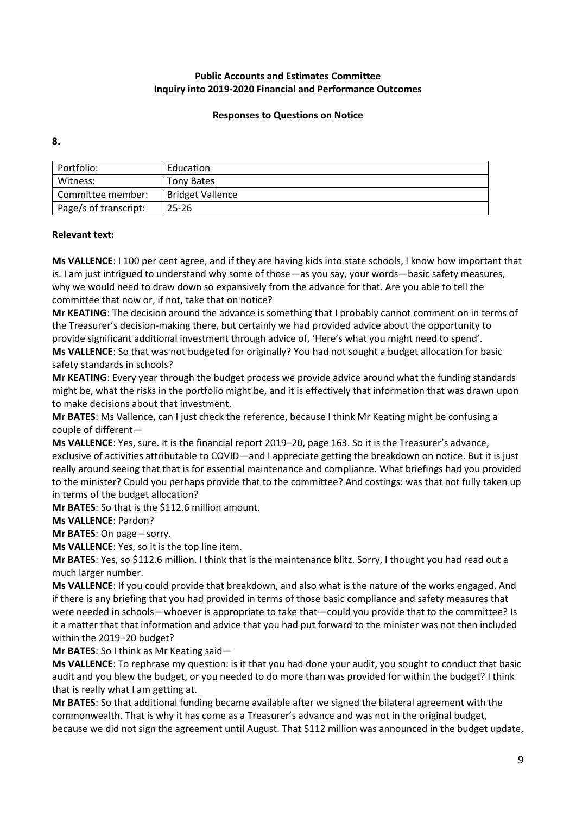### **Responses to Questions on Notice**

**8.**

| Portfolio:            | Education               |
|-----------------------|-------------------------|
| Witness:              | Tony Bates              |
| Committee member:     | <b>Bridget Vallence</b> |
| Page/s of transcript: | $25 - 26$               |
|                       |                         |

## **Relevant text:**

**Ms VALLENCE**: I 100 per cent agree, and if they are having kids into state schools, I know how important that is. I am just intrigued to understand why some of those—as you say, your words—basic safety measures, why we would need to draw down so expansively from the advance for that. Are you able to tell the committee that now or, if not, take that on notice?

**Mr KEATING**: The decision around the advance is something that I probably cannot comment on in terms of the Treasurer's decision-making there, but certainly we had provided advice about the opportunity to provide significant additional investment through advice of, 'Here's what you might need to spend'. **Ms VALLENCE**: So that was not budgeted for originally? You had not sought a budget allocation for basic

safety standards in schools?

**Mr KEATING**: Every year through the budget process we provide advice around what the funding standards might be, what the risks in the portfolio might be, and it is effectively that information that was drawn upon to make decisions about that investment.

**Mr BATES**: Ms Vallence, can I just check the reference, because I think Mr Keating might be confusing a couple of different—

**Ms VALLENCE**: Yes, sure. It is the financial report 2019–20, page 163. So it is the Treasurer's advance, exclusive of activities attributable to COVID—and I appreciate getting the breakdown on notice. But it is just really around seeing that that is for essential maintenance and compliance. What briefings had you provided to the minister? Could you perhaps provide that to the committee? And costings: was that not fully taken up in terms of the budget allocation?

**Mr BATES**: So that is the \$112.6 million amount.

**Ms VALLENCE**: Pardon?

**Mr BATES**: On page—sorry.

**Ms VALLENCE**: Yes, so it is the top line item.

**Mr BATES**: Yes, so \$112.6 million. I think that is the maintenance blitz. Sorry, I thought you had read out a much larger number.

**Ms VALLENCE**: If you could provide that breakdown, and also what is the nature of the works engaged. And if there is any briefing that you had provided in terms of those basic compliance and safety measures that were needed in schools—whoever is appropriate to take that—could you provide that to the committee? Is it a matter that that information and advice that you had put forward to the minister was not then included within the 2019–20 budget?

**Mr BATES**: So I think as Mr Keating said—

**Ms VALLENCE**: To rephrase my question: is it that you had done your audit, you sought to conduct that basic audit and you blew the budget, or you needed to do more than was provided for within the budget? I think that is really what I am getting at.

**Mr BATES**: So that additional funding became available after we signed the bilateral agreement with the commonwealth. That is why it has come as a Treasurer's advance and was not in the original budget, because we did not sign the agreement until August. That \$112 million was announced in the budget update,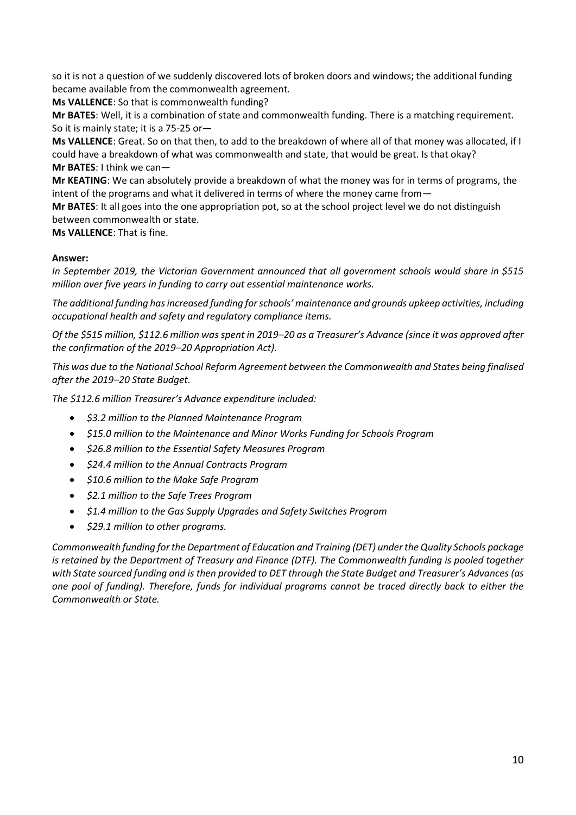so it is not a question of we suddenly discovered lots of broken doors and windows; the additional funding became available from the commonwealth agreement.

**Ms VALLENCE**: So that is commonwealth funding?

**Mr BATES**: Well, it is a combination of state and commonwealth funding. There is a matching requirement. So it is mainly state; it is a 75-25 or—

**Ms VALLENCE**: Great. So on that then, to add to the breakdown of where all of that money was allocated, if I could have a breakdown of what was commonwealth and state, that would be great. Is that okay? **Mr BATES**: I think we can—

**Mr KEATING**: We can absolutely provide a breakdown of what the money was for in terms of programs, the intent of the programs and what it delivered in terms of where the money came from—

**Mr BATES**: It all goes into the one appropriation pot, so at the school project level we do not distinguish between commonwealth or state.

**Ms VALLENCE**: That is fine.

## **Answer:**

*In September 2019, the Victorian Government announced that all government schools would share in \$515 million over five years in funding to carry out essential maintenance works.* 

*The additional funding has increased funding for schools' maintenance and grounds upkeep activities, including occupational health and safety and regulatory compliance items.* 

*Of the \$515 million, \$112.6 million was spent in 2019–20 as a Treasurer's Advance (since it was approved after the confirmation of the 2019–20 Appropriation Act).*

*This was due to the National School Reform Agreement between the Commonwealth and States being finalised after the 2019–20 State Budget.* 

*The \$112.6 million Treasurer's Advance expenditure included:*

- *\$3.2 million to the Planned Maintenance Program*
- *\$15.0 million to the Maintenance and Minor Works Funding for Schools Program*
- *\$26.8 million to the Essential Safety Measures Program*
- *\$24.4 million to the Annual Contracts Program*
- *\$10.6 million to the Make Safe Program*
- *\$2.1 million to the Safe Trees Program*
- *\$1.4 million to the Gas Supply Upgrades and Safety Switches Program*
- *\$29.1 million to other programs.*

*Commonwealth funding for the Department of Education and Training (DET) under the Quality Schools package is retained by the Department of Treasury and Finance (DTF). The Commonwealth funding is pooled together with State sourced funding and is then provided to DET through the State Budget and Treasurer's Advances (as one pool of funding). Therefore, funds for individual programs cannot be traced directly back to either the Commonwealth or State.*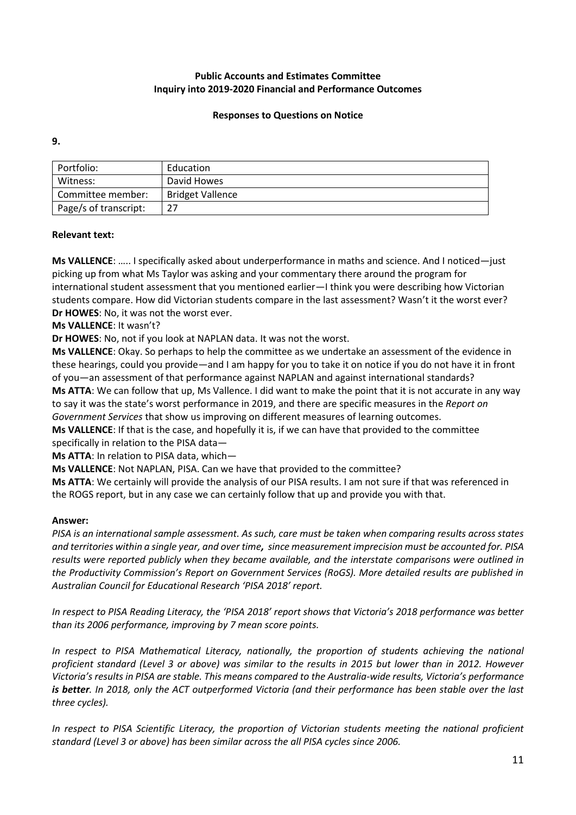## **Responses to Questions on Notice**

**9.**

| Portfolio:            | Education               |
|-----------------------|-------------------------|
| Witness:              | David Howes             |
| Committee member:     | <b>Bridget Vallence</b> |
| Page/s of transcript: | 27                      |
|                       |                         |

## **Relevant text:**

**Ms VALLENCE**: ….. I specifically asked about underperformance in maths and science. And I noticed—just picking up from what Ms Taylor was asking and your commentary there around the program for international student assessment that you mentioned earlier—I think you were describing how Victorian students compare. How did Victorian students compare in the last assessment? Wasn't it the worst ever? **Dr HOWES**: No, it was not the worst ever.

## **Ms VALLENCE**: It wasn't?

**Dr HOWES**: No, not if you look at NAPLAN data. It was not the worst.

**Ms VALLENCE**: Okay. So perhaps to help the committee as we undertake an assessment of the evidence in these hearings, could you provide—and I am happy for you to take it on notice if you do not have it in front of you—an assessment of that performance against NAPLAN and against international standards? **Ms ATTA**: We can follow that up, Ms Vallence. I did want to make the point that it is not accurate in any way to say it was the state's worst performance in 2019, and there are specific measures in the *Report on Government Services* that show us improving on different measures of learning outcomes.

**Ms VALLENCE**: If that is the case, and hopefully it is, if we can have that provided to the committee specifically in relation to the PISA data—

**Ms ATTA**: In relation to PISA data, which—

**Ms VALLENCE**: Not NAPLAN, PISA. Can we have that provided to the committee?

**Ms ATTA**: We certainly will provide the analysis of our PISA results. I am not sure if that was referenced in the ROGS report, but in any case we can certainly follow that up and provide you with that.

#### **Answer:**

*PISA is an international sample assessment. As such, care must be taken when comparing results across states and territories within a single year, and over time, since measurement imprecision must be accounted for. PISA results were reported publicly when they became available, and the interstate comparisons were outlined in the Productivity Commission's Report on Government Services (RoGS). More detailed results are published in Australian Council for Educational Research 'PISA 2018' report.* 

*In respect to PISA Reading Literacy, the 'PISA 2018' report shows that Victoria's 2018 performance was better than its 2006 performance, improving by 7 mean score points.*

*In respect to PISA Mathematical Literacy, nationally, the proportion of students achieving the national proficient standard (Level 3 or above) was similar to the results in 2015 but lower than in 2012. However Victoria's results in PISA are stable. This means compared to the Australia-wide results, Victoria's performance is better. In 2018, only the ACT outperformed Victoria (and their performance has been stable over the last three cycles).*

*In respect to PISA Scientific Literacy, the proportion of Victorian students meeting the national proficient standard (Level 3 or above) has been similar across the all PISA cycles since 2006.*